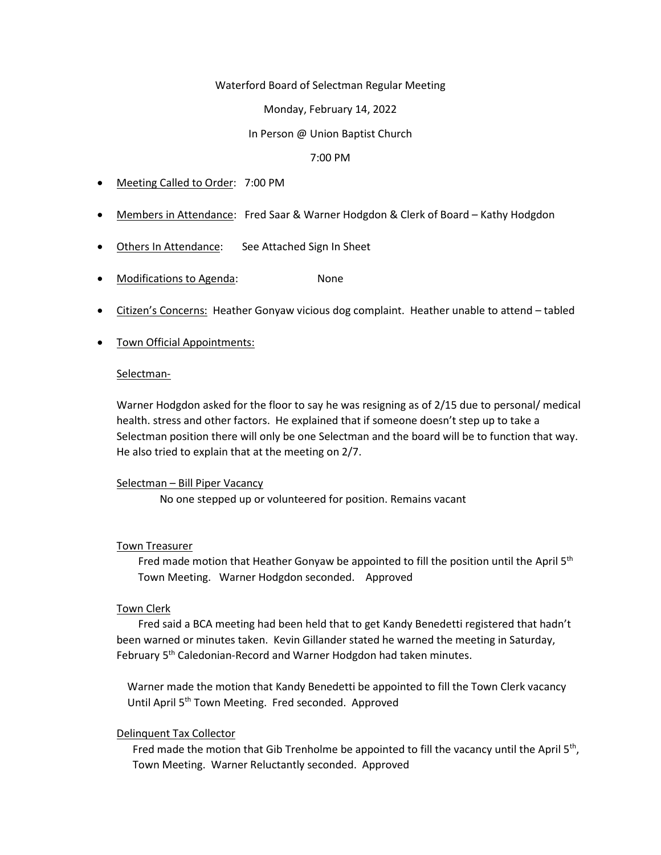## Waterford Board of Selectman Regular Meeting

## Monday, February 14, 2022

## In Person @ Union Baptist Church

## 7:00 PM

- Meeting Called to Order: 7:00 PM
- Members in Attendance: Fred Saar & Warner Hodgdon & Clerk of Board Kathy Hodgdon
- Others In Attendance: See Attached Sign In Sheet
- **Modifications to Agenda:** None
- Citizen's Concerns: Heather Gonyaw vicious dog complaint. Heather unable to attend tabled

## • Town Official Appointments:

#### Selectman-

Warner Hodgdon asked for the floor to say he was resigning as of 2/15 due to personal/ medical health. stress and other factors. He explained that if someone doesn't step up to take a Selectman position there will only be one Selectman and the board will be to function that way. He also tried to explain that at the meeting on 2/7.

### Selectman – Bill Piper Vacancy

No one stepped up or volunteered for position. Remains vacant

### Town Treasurer

Fred made motion that Heather Gonyaw be appointed to fill the position until the April  $5<sup>th</sup>$ Town Meeting. Warner Hodgdon seconded. Approved

## Town Clerk

 Fred said a BCA meeting had been held that to get Kandy Benedetti registered that hadn't been warned or minutes taken. Kevin Gillander stated he warned the meeting in Saturday, February 5<sup>th</sup> Caledonian-Record and Warner Hodgdon had taken minutes.

 Warner made the motion that Kandy Benedetti be appointed to fill the Town Clerk vacancy Until April 5<sup>th</sup> Town Meeting. Fred seconded. Approved

### Delinquent Tax Collector

Fred made the motion that Gib Trenholme be appointed to fill the vacancy until the April  $5<sup>th</sup>$ , Town Meeting. Warner Reluctantly seconded. Approved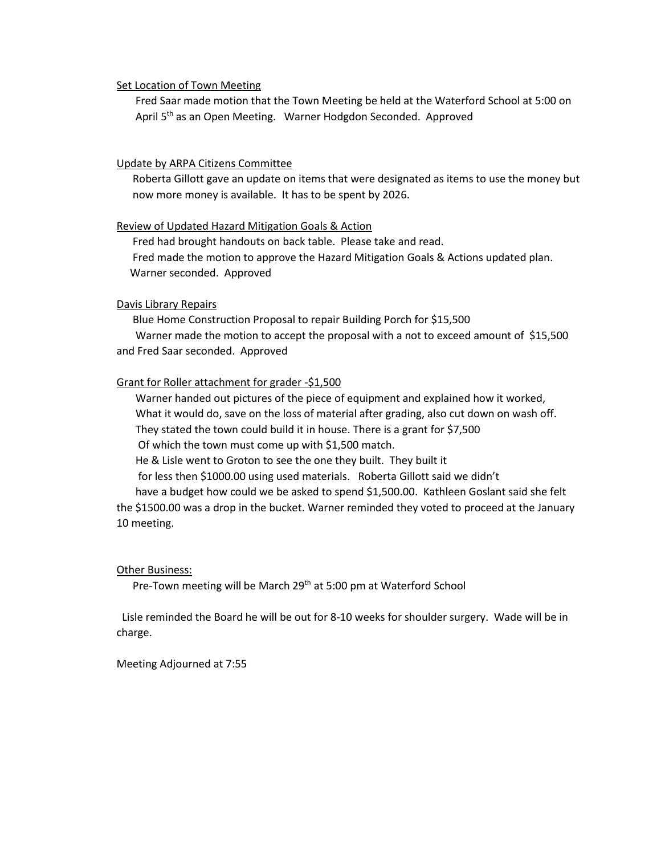#### Set Location of Town Meeting

 Fred Saar made motion that the Town Meeting be held at the Waterford School at 5:00 on April 5<sup>th</sup> as an Open Meeting. Warner Hodgdon Seconded. Approved

# Update by ARPA Citizens Committee

 Roberta Gillott gave an update on items that were designated as items to use the money but now more money is available. It has to be spent by 2026.

#### Review of Updated Hazard Mitigation Goals & Action

 Fred had brought handouts on back table. Please take and read. Fred made the motion to approve the Hazard Mitigation Goals & Actions updated plan. Warner seconded. Approved

#### Davis Library Repairs

 Blue Home Construction Proposal to repair Building Porch for \$15,500 Warner made the motion to accept the proposal with a not to exceed amount of \$15,500 and Fred Saar seconded. Approved

## Grant for Roller attachment for grader -\$1,500

 Warner handed out pictures of the piece of equipment and explained how it worked, What it would do, save on the loss of material after grading, also cut down on wash off. They stated the town could build it in house. There is a grant for \$7,500 Of which the town must come up with \$1,500 match.

He & Lisle went to Groton to see the one they built. They built it

for less then \$1000.00 using used materials. Roberta Gillott said we didn't

have a budget how could we be asked to spend \$1,500.00. Kathleen Goslant said she felt

the \$1500.00 was a drop in the bucket. Warner reminded they voted to proceed at the January 10 meeting.

#### **Other Business:**

Pre-Town meeting will be March 29<sup>th</sup> at 5:00 pm at Waterford School

 Lisle reminded the Board he will be out for 8-10 weeks for shoulder surgery. Wade will be in charge.

Meeting Adjourned at 7:55